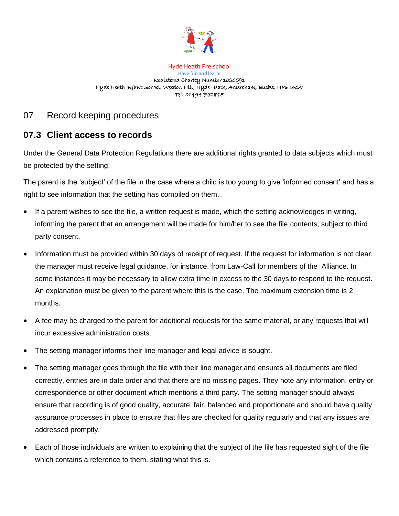

## Hyde Heath Pre-school Have fun and learn! Registered Charity Number 1020591 Hyde Heath Infant School, Weedon Hill, Hyde Heath, Amersham, Bucks, HP6 5RW Tel: 01494 782845

## 07 Record keeping procedures

## **07.3 Client access to records**

Under the General Data Protection Regulations there are additional rights granted to data subjects which must be protected by the setting.

The parent is the 'subject' of the file in the case where a child is too young to give 'informed consent' and has a right to see information that the setting has compiled on them.

- If a parent wishes to see the file, a written request is made, which the setting acknowledges in writing, informing the parent that an arrangement will be made for him/her to see the file contents, subject to third party consent.
- Information must be provided within 30 days of receipt of request. If the request for information is not clear, the manager must receive legal guidance, for instance, from Law-Call for members of the Alliance. In some instances it may be necessary to allow extra time in excess to the 30 days to respond to the request. An explanation must be given to the parent where this is the case. The maximum extension time is 2 months.
- A fee may be charged to the parent for additional requests for the same material, or any requests that will incur excessive administration costs.
- The setting manager informs their line manager and legal advice is sought.
- The setting manager goes through the file with their line manager and ensures all documents are filed correctly, entries are in date order and that there are no missing pages. They note any information, entry or correspondence or other document which mentions a third party. The setting manager should always ensure that recording is of good quality, accurate, fair, balanced and proportionate and should have quality assurance processes in place to ensure that files are checked for quality regularly and that any issues are addressed promptly.
- Each of those individuals are written to explaining that the subject of the file has requested sight of the file which contains a reference to them, stating what this is.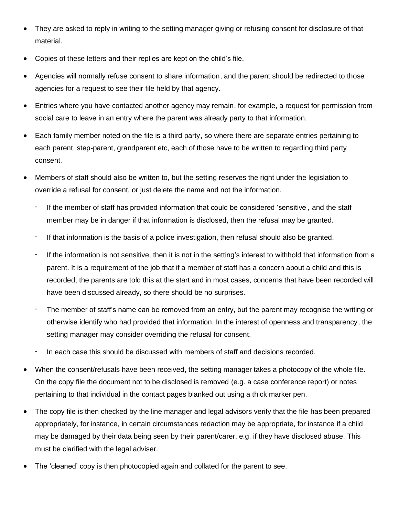- They are asked to reply in writing to the setting manager giving or refusing consent for disclosure of that material.
- Copies of these letters and their replies are kept on the child's file.
- Agencies will normally refuse consent to share information, and the parent should be redirected to those agencies for a request to see their file held by that agency.
- Entries where you have contacted another agency may remain, for example, a request for permission from social care to leave in an entry where the parent was already party to that information.
- Each family member noted on the file is a third party, so where there are separate entries pertaining to each parent, step-parent, grandparent etc, each of those have to be written to regarding third party consent.
- Members of staff should also be written to, but the setting reserves the right under the legislation to override a refusal for consent, or just delete the name and not the information.
	- If the member of staff has provided information that could be considered 'sensitive', and the staff member may be in danger if that information is disclosed, then the refusal may be granted.
	- If that information is the basis of a police investigation, then refusal should also be granted.
	- If the information is not sensitive, then it is not in the setting's interest to withhold that information from a parent. It is a requirement of the job that if a member of staff has a concern about a child and this is recorded; the parents are told this at the start and in most cases, concerns that have been recorded will have been discussed already, so there should be no surprises.
	- The member of staff's name can be removed from an entry, but the parent may recognise the writing or otherwise identify who had provided that information. In the interest of openness and transparency, the setting manager may consider overriding the refusal for consent.
	- In each case this should be discussed with members of staff and decisions recorded.
- When the consent/refusals have been received, the setting manager takes a photocopy of the whole file. On the copy file the document not to be disclosed is removed (e.g. a case conference report) or notes pertaining to that individual in the contact pages blanked out using a thick marker pen.
- The copy file is then checked by the line manager and legal advisors verify that the file has been prepared appropriately, for instance, in certain circumstances redaction may be appropriate, for instance if a child may be damaged by their data being seen by their parent/carer, e.g. if they have disclosed abuse. This must be clarified with the legal adviser.
- The 'cleaned' copy is then photocopied again and collated for the parent to see.